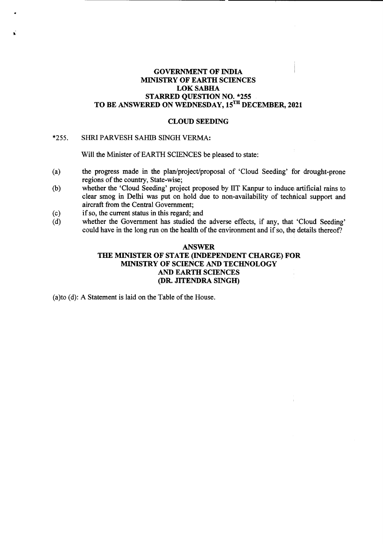## GOVERNMENT OF INDIA **MINISTRY OF EARTH SCIENCES** LOKSABHA STARRED QUESTION NO. \*255 TO BE ANSWERED ON WEDNESDAY, 15TH DECEMBER, 2021

#### CLOUD SEEDING

# \*255. SHRI PARVESH SAHIB SINGH VERMA:

Will the Minister of EARTH SCIENCES be pleased to state:

- (a) the progress made in the plan/project/proposal of 'Cloud Seeding' for drought-prone regions of the country, State-wise;
- (b) whether the 'Cloud Seeding' project proposed by lIT Kanpur to induce artificial rains to clear smog in Delhi was put on hold due to non-availability of technical support and aircraft from the Central Government;
- (c) if so, the current status in this regard; and
- (d) whether the Government has studied the adverse effects, if any, that 'Cloud Seeding' could have in the long run on the health of the environment and if so, the details thereof?

## ANSWER THE MINISTER OF STATE (INDEPENDENT CHARGE) FOR MINISTRY OF SCIENCE AND TECHNOLOGY AND EARTH SCIENCES (DR. JITENDRA SINGH)

(a)to (d): A Statement is laid on the Table of the House.